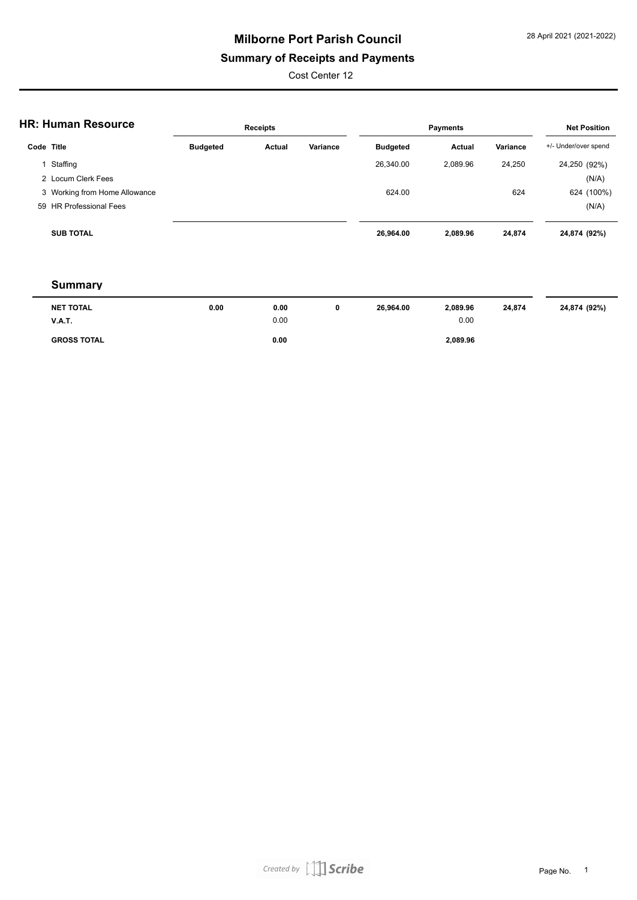# **Milborne Port Parish Council**

## **Summary of Receipts and Payments**

Cost Center 12

| <b>HR: Human Resource</b> |                               | <b>Receipts</b> |        |          |                 | <b>Net Position</b> |          |                      |
|---------------------------|-------------------------------|-----------------|--------|----------|-----------------|---------------------|----------|----------------------|
|                           | Code Title                    | <b>Budgeted</b> | Actual | Variance | <b>Budgeted</b> | Actual              | Variance | +/- Under/over spend |
|                           | Staffing                      |                 |        |          | 26,340.00       | 2.089.96            | 24,250   | 24,250 (92%)         |
|                           | 2 Locum Clerk Fees            |                 |        |          |                 |                     |          | (N/A)                |
|                           | 3 Working from Home Allowance |                 |        |          | 624.00          |                     | 624      | 624 (100%)           |
|                           | 59 HR Professional Fees       |                 |        |          |                 |                     |          | (N/A)                |
|                           | <b>SUB TOTAL</b>              |                 |        |          | 26,964.00       | 2,089.96            | 24,874   | 24,874 (92%)         |

#### **Summary**

| <b>NET TOTAL</b>   | 0.00 | 0.00 | U | 26,964.00 | 2,089.96 | 24,874 | 24,874 (92%) |
|--------------------|------|------|---|-----------|----------|--------|--------------|
| <b>V.A.T.</b>      |      | 0.00 |   |           | 0.00     |        |              |
| <b>GROSS TOTAL</b> |      | 0.00 |   |           | 2,089.96 |        |              |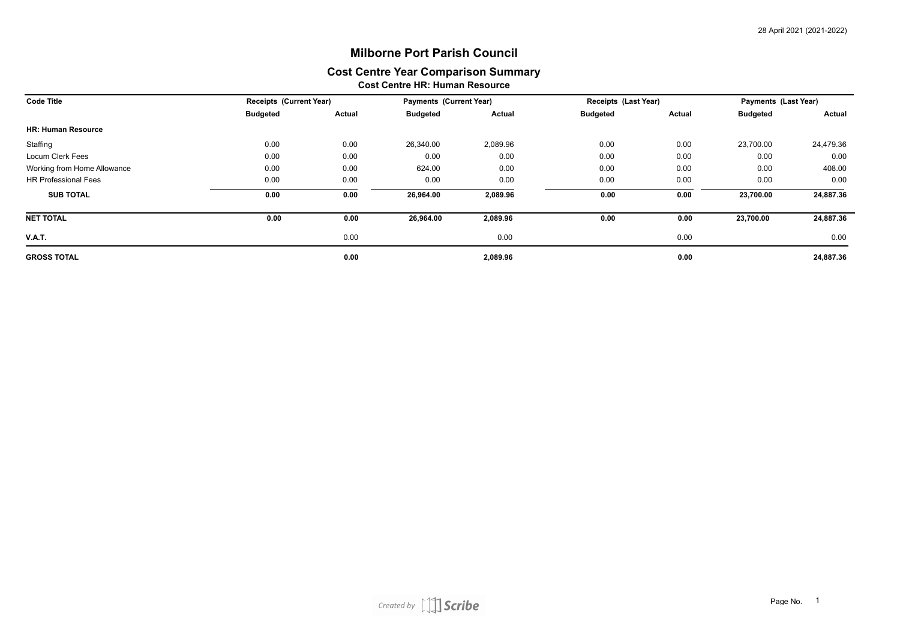### **Cost Centre HR: Human Resource Milborne Port Parish Council Cost Centre Year Comparison Summary**

| <b>Code Title</b>           |                 | <b>Receipts (Current Year)</b> |                 | <b>Payments (Current Year)</b> | Receipts (Last Year) |               | Payments (Last Year) |           |
|-----------------------------|-----------------|--------------------------------|-----------------|--------------------------------|----------------------|---------------|----------------------|-----------|
|                             | <b>Budgeted</b> | Actual                         | <b>Budgeted</b> | Actual                         | <b>Budgeted</b>      | <b>Actual</b> | <b>Budgeted</b>      | Actual    |
| <b>HR: Human Resource</b>   |                 |                                |                 |                                |                      |               |                      |           |
| Staffing                    | 0.00            | 0.00                           | 26,340.00       | 2,089.96                       | 0.00                 | 0.00          | 23,700.00            | 24,479.36 |
| Locum Clerk Fees            | 0.00            | 0.00                           | 0.00            | 0.00                           | 0.00                 | 0.00          | 0.00                 | 0.00      |
| Working from Home Allowance | 0.00            | 0.00                           | 624.00          | 0.00                           | 0.00                 | 0.00          | 0.00                 | 408.00    |
| <b>HR Professional Fees</b> | 0.00            | 0.00                           | 0.00            | 0.00                           | 0.00                 | 0.00          | 0.00                 | 0.00      |
| <b>SUB TOTAL</b>            | 0.00            | 0.00                           | 26,964.00       | 2,089.96                       | 0.00                 | 0.00          | 23,700.00            | 24,887.36 |
| <b>NET TOTAL</b>            | 0.00            | 0.00                           | 26,964.00       | 2,089.96                       | 0.00                 | 0.00          | 23,700.00            | 24,887.36 |
| <b>V.A.T.</b>               |                 | 0.00                           |                 | 0.00                           |                      | 0.00          |                      | 0.00      |
| <b>GROSS TOTAL</b>          |                 | 0.00                           |                 | 2,089.96                       |                      | 0.00          |                      | 24,887.36 |